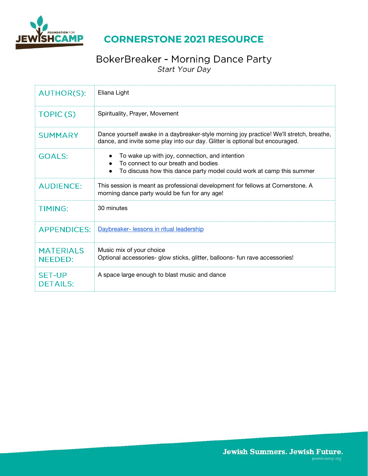

## **CORNERSTONE 2021 RESOURCE**

### BokerBreaker - Morning Dance Party Start Your Day

| <b>AUTHOR(S):</b>                  | Eliana Light                                                                                                                                                              |
|------------------------------------|---------------------------------------------------------------------------------------------------------------------------------------------------------------------------|
| TOPIC(S)                           | Spirituality, Prayer, Movement                                                                                                                                            |
| <b>SUMMARY</b>                     | Dance yourself awake in a daybreaker-style morning joy practice! We'll stretch, breathe,<br>dance, and invite some play into our day. Glitter is optional but encouraged. |
| <b>GOALS:</b>                      | To wake up with joy, connection, and intention<br>To connect to our breath and bodies<br>To discuss how this dance party model could work at camp this summer             |
| <b>AUDIENCE:</b>                   | This session is meant as professional development for fellows at Cornerstone. A<br>morning dance party would be fun for any age!                                          |
| <b>TIMING:</b>                     | 30 minutes                                                                                                                                                                |
| <b>APPENDICES:</b>                 | Daybreaker- lessons in ritual leadership                                                                                                                                  |
| <b>MATERIALS</b><br><b>NEEDED:</b> | Music mix of your choice<br>Optional accessories- glow sticks, glitter, balloons- fun rave accessories!                                                                   |
| <b>SET-UP</b><br><b>DETAILS:</b>   | A space large enough to blast music and dance                                                                                                                             |